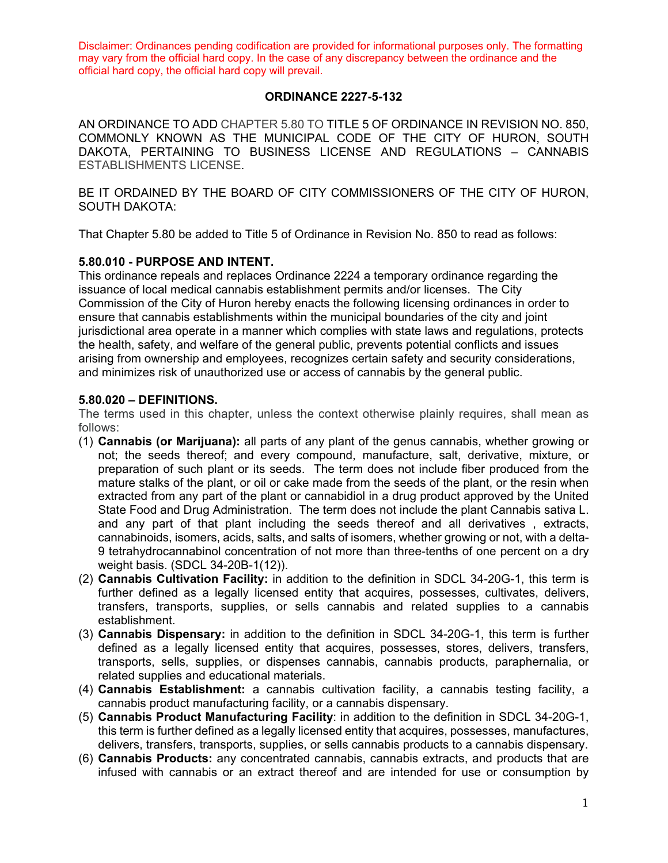### **ORDINANCE 2227-5-132**

AN ORDINANCE TO ADD CHAPTER 5.80 TO TITLE 5 OF ORDINANCE IN REVISION NO. 850, COMMONLY KNOWN AS THE MUNICIPAL CODE OF THE CITY OF HURON, SOUTH DAKOTA, PERTAINING TO BUSINESS LICENSE AND REGULATIONS – CANNABIS ESTABLISHMENTS LICENSE.

BE IT ORDAINED BY THE BOARD OF CITY COMMISSIONERS OF THE CITY OF HURON, SOUTH DAKOTA:

That Chapter 5.80 be added to Title 5 of Ordinance in Revision No. 850 to read as follows:

#### **5.80.010 - PURPOSE AND INTENT.**

This ordinance repeals and replaces Ordinance 2224 a temporary ordinance regarding the issuance of local medical cannabis establishment permits and/or licenses. The City Commission of the City of Huron hereby enacts the following licensing ordinances in order to ensure that cannabis establishments within the municipal boundaries of the city and joint jurisdictional area operate in a manner which complies with state laws and regulations, protects the health, safety, and welfare of the general public, prevents potential conflicts and issues arising from ownership and employees, recognizes certain safety and security considerations, and minimizes risk of unauthorized use or access of cannabis by the general public.

#### **5.80.020 – DEFINITIONS.**

The terms used in this chapter, unless the context otherwise plainly requires, shall mean as follows:

- (1) **Cannabis (or Marijuana):** all parts of any plant of the genus cannabis, whether growing or not; the seeds thereof; and every compound, manufacture, salt, derivative, mixture, or preparation of such plant or its seeds. The term does not include fiber produced from the mature stalks of the plant, or oil or cake made from the seeds of the plant, or the resin when extracted from any part of the plant or cannabidiol in a drug product approved by the United State Food and Drug Administration. The term does not include the plant Cannabis sativa L. and any part of that plant including the seeds thereof and all derivatives , extracts, cannabinoids, isomers, acids, salts, and salts of isomers, whether growing or not, with a delta-9 tetrahydrocannabinol concentration of not more than three-tenths of one percent on a dry weight basis. (SDCL 34-20B-1(12)).
- (2) **Cannabis Cultivation Facility:** in addition to the definition in SDCL 34-20G-1, this term is further defined as a legally licensed entity that acquires, possesses, cultivates, delivers, transfers, transports, supplies, or sells cannabis and related supplies to a cannabis establishment.
- (3) **Cannabis Dispensary:** in addition to the definition in SDCL 34-20G-1, this term is further defined as a legally licensed entity that acquires, possesses, stores, delivers, transfers, transports, sells, supplies, or dispenses cannabis, cannabis products, paraphernalia, or related supplies and educational materials.
- (4) **Cannabis Establishment:** a cannabis cultivation facility, a cannabis testing facility, a cannabis product manufacturing facility, or a cannabis dispensary.
- (5) **Cannabis Product Manufacturing Facility**: in addition to the definition in SDCL 34-20G-1, this term is further defined as a legally licensed entity that acquires, possesses, manufactures, delivers, transfers, transports, supplies, or sells cannabis products to a cannabis dispensary.
- (6) **Cannabis Products:** any concentrated cannabis, cannabis extracts, and products that are infused with cannabis or an extract thereof and are intended for use or consumption by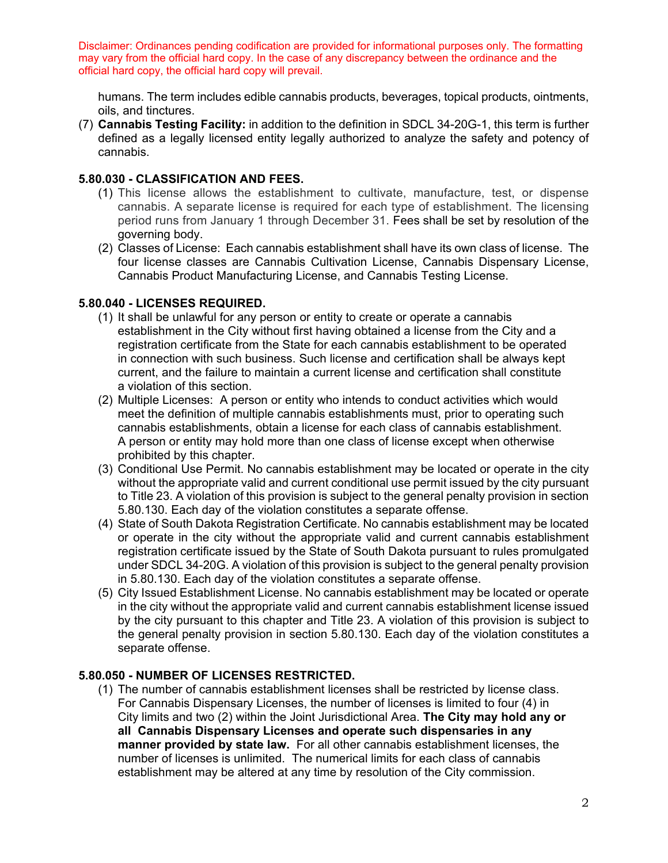humans. The term includes edible cannabis products, beverages, topical products, ointments, oils, and tinctures.

(7) **Cannabis Testing Facility:** in addition to the definition in SDCL 34-20G-1, this term is further defined as a legally licensed entity legally authorized to analyze the safety and potency of cannabis.

### **5.80.030 - CLASSIFICATION AND FEES.**

- (1) This license allows the establishment to cultivate, manufacture, test, or dispense cannabis. A separate license is required for each type of establishment. The licensing period runs from January 1 through December 31. Fees shall be set by resolution of the governing body.
- (2) Classes of License: Each cannabis establishment shall have its own class of license. The four license classes are Cannabis Cultivation License, Cannabis Dispensary License, Cannabis Product Manufacturing License, and Cannabis Testing License.

## **5.80.040 - LICENSES REQUIRED.**

- (1) It shall be unlawful for any person or entity to create or operate a cannabis establishment in the City without first having obtained a license from the City and a registration certificate from the State for each cannabis establishment to be operated in connection with such business. Such license and certification shall be always kept current, and the failure to maintain a current license and certification shall constitute a violation of this section.
- (2) Multiple Licenses: A person or entity who intends to conduct activities which would meet the definition of multiple cannabis establishments must, prior to operating such cannabis establishments, obtain a license for each class of cannabis establishment. A person or entity may hold more than one class of license except when otherwise prohibited by this chapter.
- (3) Conditional Use Permit. No cannabis establishment may be located or operate in the city without the appropriate valid and current conditional use permit issued by the city pursuant to Title 23. A violation of this provision is subject to the general penalty provision in section 5.80.130. Each day of the violation constitutes a separate offense.
- (4) State of South Dakota Registration Certificate. No cannabis establishment may be located or operate in the city without the appropriate valid and current cannabis establishment registration certificate issued by the State of South Dakota pursuant to rules promulgated under SDCL 34-20G. A violation of this provision is subject to the general penalty provision in 5.80.130. Each day of the violation constitutes a separate offense.
- (5) City Issued Establishment License. No cannabis establishment may be located or operate in the city without the appropriate valid and current cannabis establishment license issued by the city pursuant to this chapter and Title 23. A violation of this provision is subject to the general penalty provision in section 5.80.130. Each day of the violation constitutes a separate offense.

# **5.80.050 - NUMBER OF LICENSES RESTRICTED.**

(1) The number of cannabis establishment licenses shall be restricted by license class. For Cannabis Dispensary Licenses, the number of licenses is limited to four (4) in City limits and two (2) within the Joint Jurisdictional Area. **The City may hold any or all Cannabis Dispensary Licenses and operate such dispensaries in any manner provided by state law.** For all other cannabis establishment licenses, the number of licenses is unlimited. The numerical limits for each class of cannabis establishment may be altered at any time by resolution of the City commission.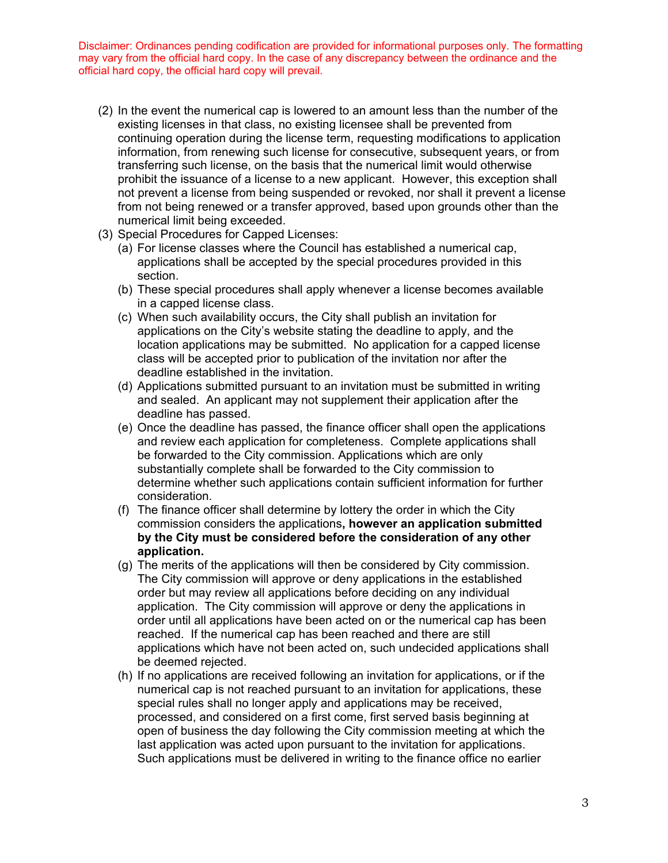- (2) In the event the numerical cap is lowered to an amount less than the number of the existing licenses in that class, no existing licensee shall be prevented from continuing operation during the license term, requesting modifications to application information, from renewing such license for consecutive, subsequent years, or from transferring such license, on the basis that the numerical limit would otherwise prohibit the issuance of a license to a new applicant. However, this exception shall not prevent a license from being suspended or revoked, nor shall it prevent a license from not being renewed or a transfer approved, based upon grounds other than the numerical limit being exceeded.
- (3) Special Procedures for Capped Licenses:
	- (a) For license classes where the Council has established a numerical cap, applications shall be accepted by the special procedures provided in this section.
	- (b) These special procedures shall apply whenever a license becomes available in a capped license class.
	- (c) When such availability occurs, the City shall publish an invitation for applications on the City's website stating the deadline to apply, and the location applications may be submitted. No application for a capped license class will be accepted prior to publication of the invitation nor after the deadline established in the invitation.
	- (d) Applications submitted pursuant to an invitation must be submitted in writing and sealed. An applicant may not supplement their application after the deadline has passed.
	- (e) Once the deadline has passed, the finance officer shall open the applications and review each application for completeness. Complete applications shall be forwarded to the City commission. Applications which are only substantially complete shall be forwarded to the City commission to determine whether such applications contain sufficient information for further consideration.
	- (f) The finance officer shall determine by lottery the order in which the City commission considers the applications**, however an application submitted by the City must be considered before the consideration of any other application.**
	- (g) The merits of the applications will then be considered by City commission. The City commission will approve or deny applications in the established order but may review all applications before deciding on any individual application. The City commission will approve or deny the applications in order until all applications have been acted on or the numerical cap has been reached. If the numerical cap has been reached and there are still applications which have not been acted on, such undecided applications shall be deemed rejected.
	- (h) If no applications are received following an invitation for applications, or if the numerical cap is not reached pursuant to an invitation for applications, these special rules shall no longer apply and applications may be received, processed, and considered on a first come, first served basis beginning at open of business the day following the City commission meeting at which the last application was acted upon pursuant to the invitation for applications. Such applications must be delivered in writing to the finance office no earlier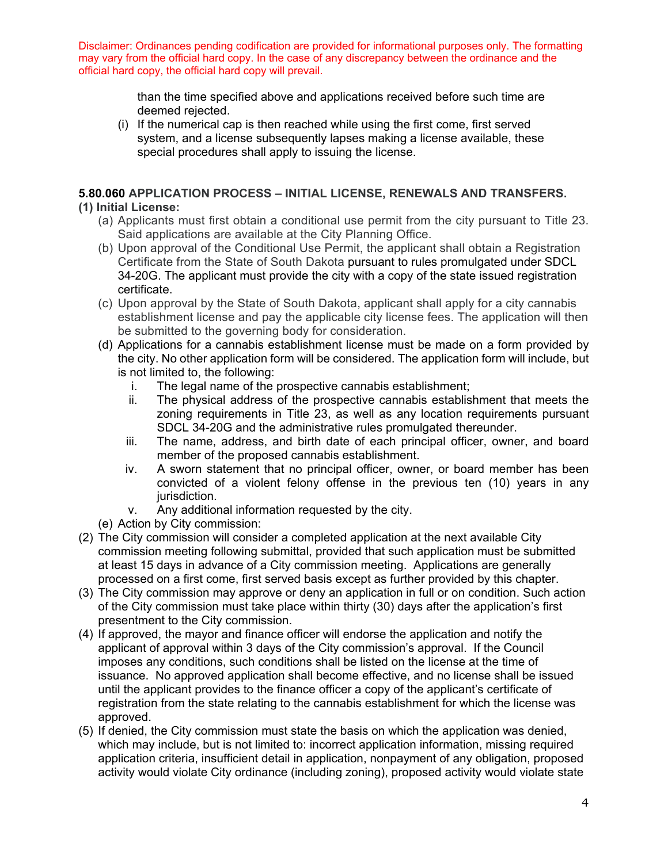> than the time specified above and applications received before such time are deemed rejected.

(i) If the numerical cap is then reached while using the first come, first served system, and a license subsequently lapses making a license available, these special procedures shall apply to issuing the license.

# **5.80.060 APPLICATION PROCESS – INITIAL LICENSE, RENEWALS AND TRANSFERS.**

## **(1) Initial License:**

- (a) Applicants must first obtain a conditional use permit from the city pursuant to Title 23. Said applications are available at the City Planning Office.
- (b) Upon approval of the Conditional Use Permit, the applicant shall obtain a Registration Certificate from the State of South Dakota pursuant to rules promulgated under SDCL 34-20G. The applicant must provide the city with a copy of the state issued registration certificate.
- (c) Upon approval by the State of South Dakota, applicant shall apply for a city cannabis establishment license and pay the applicable city license fees. The application will then be submitted to the governing body for consideration.
- (d) Applications for a cannabis establishment license must be made on a form provided by the city. No other application form will be considered. The application form will include, but is not limited to, the following:
	- i. The legal name of the prospective cannabis establishment;
	- ii. The physical address of the prospective cannabis establishment that meets the zoning requirements in Title 23, as well as any location requirements pursuant SDCL 34-20G and the administrative rules promulgated thereunder.
	- iii. The name, address, and birth date of each principal officer, owner, and board member of the proposed cannabis establishment.
	- iv. A sworn statement that no principal officer, owner, or board member has been convicted of a violent felony offense in the previous ten (10) years in any jurisdiction.
	- v. Any additional information requested by the city.
- (e) Action by City commission:
- (2) The City commission will consider a completed application at the next available City commission meeting following submittal, provided that such application must be submitted at least 15 days in advance of a City commission meeting. Applications are generally processed on a first come, first served basis except as further provided by this chapter.
- (3) The City commission may approve or deny an application in full or on condition. Such action of the City commission must take place within thirty (30) days after the application's first presentment to the City commission.
- (4) If approved, the mayor and finance officer will endorse the application and notify the applicant of approval within 3 days of the City commission's approval. If the Council imposes any conditions, such conditions shall be listed on the license at the time of issuance. No approved application shall become effective, and no license shall be issued until the applicant provides to the finance officer a copy of the applicant's certificate of registration from the state relating to the cannabis establishment for which the license was approved.
- (5) If denied, the City commission must state the basis on which the application was denied, which may include, but is not limited to: incorrect application information, missing required application criteria, insufficient detail in application, nonpayment of any obligation, proposed activity would violate City ordinance (including zoning), proposed activity would violate state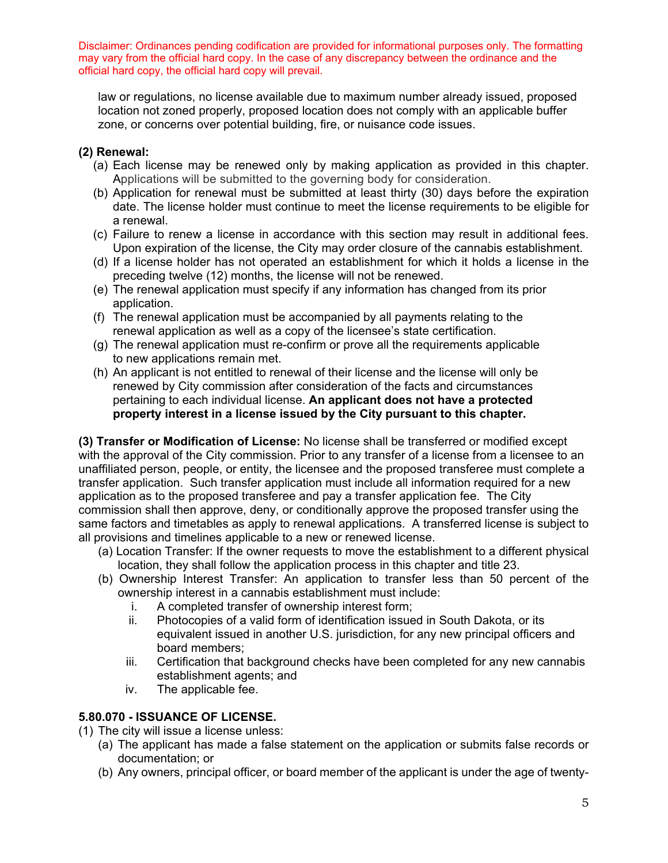law or regulations, no license available due to maximum number already issued, proposed location not zoned properly, proposed location does not comply with an applicable buffer zone, or concerns over potential building, fire, or nuisance code issues.

# **(2) Renewal:**

- (a) Each license may be renewed only by making application as provided in this chapter. Applications will be submitted to the governing body for consideration.
- (b) Application for renewal must be submitted at least thirty (30) days before the expiration date. The license holder must continue to meet the license requirements to be eligible for a renewal.
- (c) Failure to renew a license in accordance with this section may result in additional fees. Upon expiration of the license, the City may order closure of the cannabis establishment.
- (d) If a license holder has not operated an establishment for which it holds a license in the preceding twelve (12) months, the license will not be renewed.
- (e) The renewal application must specify if any information has changed from its prior application.
- (f) The renewal application must be accompanied by all payments relating to the renewal application as well as a copy of the licensee's state certification.
- (g) The renewal application must re-confirm or prove all the requirements applicable to new applications remain met.
- (h) An applicant is not entitled to renewal of their license and the license will only be renewed by City commission after consideration of the facts and circumstances pertaining to each individual license. **An applicant does not have a protected property interest in a license issued by the City pursuant to this chapter.**

**(3) Transfer or Modification of License:** No license shall be transferred or modified except with the approval of the City commission. Prior to any transfer of a license from a licensee to an unaffiliated person, people, or entity, the licensee and the proposed transferee must complete a transfer application. Such transfer application must include all information required for a new application as to the proposed transferee and pay a transfer application fee. The City commission shall then approve, deny, or conditionally approve the proposed transfer using the same factors and timetables as apply to renewal applications. A transferred license is subject to all provisions and timelines applicable to a new or renewed license.

- (a) Location Transfer: If the owner requests to move the establishment to a different physical location, they shall follow the application process in this chapter and title 23.
- (b) Ownership Interest Transfer: An application to transfer less than 50 percent of the ownership interest in a cannabis establishment must include:
	- i. A completed transfer of ownership interest form;
	- ii. Photocopies of a valid form of identification issued in South Dakota, or its equivalent issued in another U.S. jurisdiction, for any new principal officers and board members;
	- iii. Certification that background checks have been completed for any new cannabis establishment agents; and
	- iv. The applicable fee.

# **5.80.070 - ISSUANCE OF LICENSE.**

- (1) The city will issue a license unless:
	- (a) The applicant has made a false statement on the application or submits false records or documentation; or
	- (b) Any owners, principal officer, or board member of the applicant is under the age of twenty-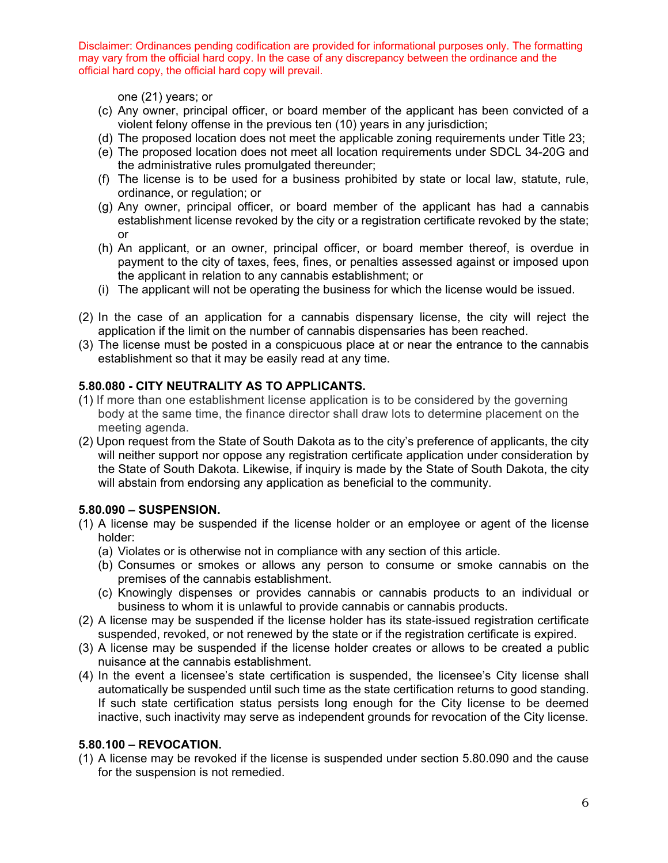one (21) years; or

- (c) Any owner, principal officer, or board member of the applicant has been convicted of a violent felony offense in the previous ten (10) years in any jurisdiction;
- (d) The proposed location does not meet the applicable zoning requirements under Title 23;
- (e) The proposed location does not meet all location requirements under SDCL 34-20G and the administrative rules promulgated thereunder;
- (f) The license is to be used for a business prohibited by state or local law, statute, rule, ordinance, or regulation; or
- (g) Any owner, principal officer, or board member of the applicant has had a cannabis establishment license revoked by the city or a registration certificate revoked by the state; or
- (h) An applicant, or an owner, principal officer, or board member thereof, is overdue in payment to the city of taxes, fees, fines, or penalties assessed against or imposed upon the applicant in relation to any cannabis establishment; or
- (i) The applicant will not be operating the business for which the license would be issued.
- (2) In the case of an application for a cannabis dispensary license, the city will reject the application if the limit on the number of cannabis dispensaries has been reached.
- (3) The license must be posted in a conspicuous place at or near the entrance to the cannabis establishment so that it may be easily read at any time.

### **5.80.080 - CITY NEUTRALITY AS TO APPLICANTS.**

- (1) If more than one establishment license application is to be considered by the governing body at the same time, the finance director shall draw lots to determine placement on the meeting agenda.
- (2) Upon request from the State of South Dakota as to the city's preference of applicants, the city will neither support nor oppose any registration certificate application under consideration by the State of South Dakota. Likewise, if inquiry is made by the State of South Dakota, the city will abstain from endorsing any application as beneficial to the community.

### **5.80.090 – SUSPENSION.**

- (1) A license may be suspended if the license holder or an employee or agent of the license holder:
	- (a) Violates or is otherwise not in compliance with any section of this article.
	- (b) Consumes or smokes or allows any person to consume or smoke cannabis on the premises of the cannabis establishment.
	- (c) Knowingly dispenses or provides cannabis or cannabis products to an individual or business to whom it is unlawful to provide cannabis or cannabis products.
- (2) A license may be suspended if the license holder has its state-issued registration certificate suspended, revoked, or not renewed by the state or if the registration certificate is expired.
- (3) A license may be suspended if the license holder creates or allows to be created a public nuisance at the cannabis establishment.
- (4) In the event a licensee's state certification is suspended, the licensee's City license shall automatically be suspended until such time as the state certification returns to good standing. If such state certification status persists long enough for the City license to be deemed inactive, such inactivity may serve as independent grounds for revocation of the City license.

#### **5.80.100 – REVOCATION.**

(1) A license may be revoked if the license is suspended under section 5.80.090 and the cause for the suspension is not remedied.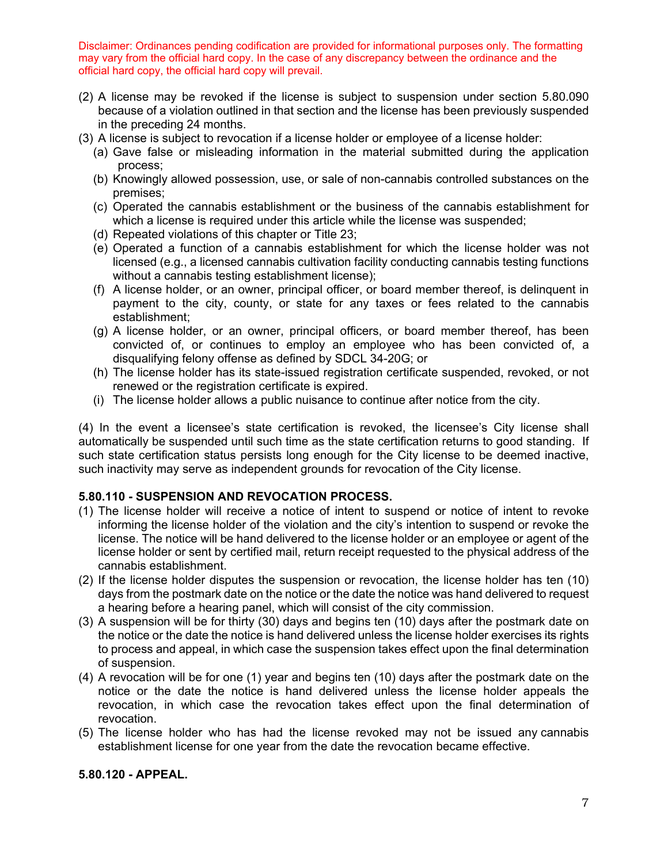- (2) A license may be revoked if the license is subject to suspension under section 5.80.090 because of a violation outlined in that section and the license has been previously suspended in the preceding 24 months.
- (3) A license is subject to revocation if a license holder or employee of a license holder:
	- (a) Gave false or misleading information in the material submitted during the application process;
	- (b) Knowingly allowed possession, use, or sale of non-cannabis controlled substances on the premises;
	- (c) Operated the cannabis establishment or the business of the cannabis establishment for which a license is required under this article while the license was suspended;
	- (d) Repeated violations of this chapter or Title 23;
	- (e) Operated a function of a cannabis establishment for which the license holder was not licensed (e.g., a licensed cannabis cultivation facility conducting cannabis testing functions without a cannabis testing establishment license);
	- (f) A license holder, or an owner, principal officer, or board member thereof, is delinquent in payment to the city, county, or state for any taxes or fees related to the cannabis establishment;
	- (g) A license holder, or an owner, principal officers, or board member thereof, has been convicted of, or continues to employ an employee who has been convicted of, a disqualifying felony offense as defined by SDCL 34-20G; or
	- (h) The license holder has its state-issued registration certificate suspended, revoked, or not renewed or the registration certificate is expired.
	- (i) The license holder allows a public nuisance to continue after notice from the city.

(4) In the event a licensee's state certification is revoked, the licensee's City license shall automatically be suspended until such time as the state certification returns to good standing. If such state certification status persists long enough for the City license to be deemed inactive, such inactivity may serve as independent grounds for revocation of the City license.

### **5.80.110 - SUSPENSION AND REVOCATION PROCESS.**

- (1) The license holder will receive a notice of intent to suspend or notice of intent to revoke informing the license holder of the violation and the city's intention to suspend or revoke the license. The notice will be hand delivered to the license holder or an employee or agent of the license holder or sent by certified mail, return receipt requested to the physical address of the cannabis establishment.
- (2) If the license holder disputes the suspension or revocation, the license holder has ten (10) days from the postmark date on the notice or the date the notice was hand delivered to request a hearing before a hearing panel, which will consist of the city commission.
- (3) A suspension will be for thirty (30) days and begins ten (10) days after the postmark date on the notice or the date the notice is hand delivered unless the license holder exercises its rights to process and appeal, in which case the suspension takes effect upon the final determination of suspension.
- (4) A revocation will be for one (1) year and begins ten (10) days after the postmark date on the notice or the date the notice is hand delivered unless the license holder appeals the revocation, in which case the revocation takes effect upon the final determination of revocation.
- (5) The license holder who has had the license revoked may not be issued any cannabis establishment license for one year from the date the revocation became effective.

### **5.80.120 - APPEAL.**